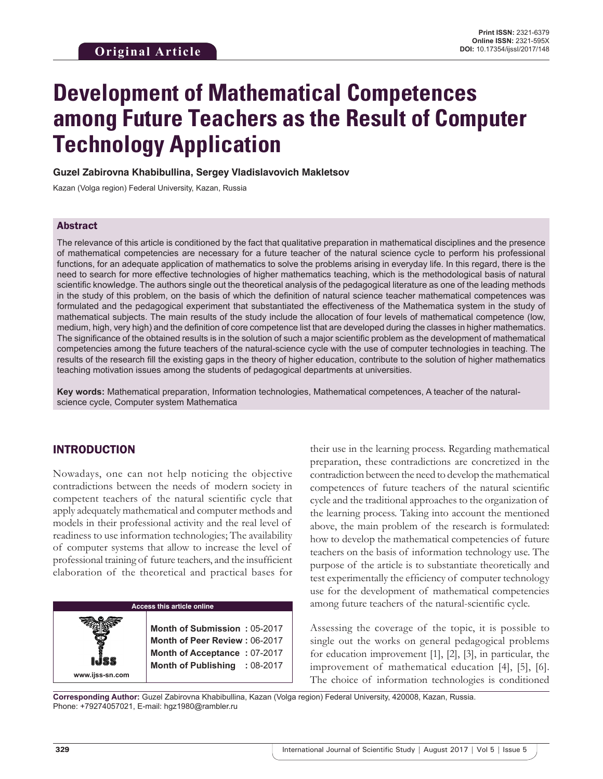# **Development of Mathematical Competences among Future Teachers as the Result of Computer Technology Application**

**Guzel Zabirovna Khabibullina, Sergey Vladislavovich Makletsov** 

Kazan (Volga region) Federal University, Kazan, Russia

#### Abstract

The relevance of this article is conditioned by the fact that qualitative preparation in mathematical disciplines and the presence of mathematical competencies are necessary for a future teacher of the natural science cycle to perform his professional functions, for an adequate application of mathematics to solve the problems arising in everyday life. In this regard, there is the need to search for more effective technologies of higher mathematics teaching, which is the methodological basis of natural scientific knowledge. The authors single out the theoretical analysis of the pedagogical literature as one of the leading methods in the study of this problem, on the basis of which the definition of natural science teacher mathematical competences was formulated and the pedagogical experiment that substantiated the effectiveness of the Mathematica system in the study of mathematical subjects. The main results of the study include the allocation of four levels of mathematical competence (low, medium, high, very high) and the definition of core competence list that are developed during the classes in higher mathematics. The significance of the obtained results is in the solution of such a major scientific problem as the development of mathematical competencies among the future teachers of the natural-science cycle with the use of computer technologies in teaching. The results of the research fill the existing gaps in the theory of higher education, contribute to the solution of higher mathematics teaching motivation issues among the students of pedagogical departments at universities.

**Key words:** Mathematical preparation, Information technologies, Mathematical competences, A teacher of the naturalscience cycle, Computer system Mathematica

### INTRODUCTION

**www.ijss-sn.com**

Nowadays, one can not help noticing the objective contradictions between the needs of modern society in competent teachers of the natural scientific cycle that apply adequately mathematical and computer methods and models in their professional activity and the real level of readiness to use information technologies; The availability of computer systems that allow to increase the level of professional training of future teachers, and the insufficient elaboration of the theoretical and practical bases for

#### **Access this article online**

**Month of Submission :** 05-2017 **Month of Peer Review :** 06-2017 **Month of Acceptance :** 07-2017 **Month of Publishing :** 08-2017

their use in the learning process. Regarding mathematical preparation, these contradictions are concretized in the contradiction between the need to develop the mathematical competences of future teachers of the natural scientific cycle and the traditional approaches to the organization of the learning process. Taking into account the mentioned above, the main problem of the research is formulated: how to develop the mathematical competencies of future teachers on the basis of information technology use. The purpose of the article is to substantiate theoretically and test experimentally the efficiency of computer technology use for the development of mathematical competencies among future teachers of the natural-scientific cycle.

Assessing the coverage of the topic, it is possible to single out the works on general pedagogical problems for education improvement [1], [2], [3], in particular, the improvement of mathematical education [4], [5], [6]. The choice of information technologies is conditioned

**Corresponding Author:** Guzel Zabirovna Khabibullina, Kazan (Volga region) Federal University, 420008, Kazan, Russia. Phone: +79274057021, E-mail: hgz1980@rambler.ru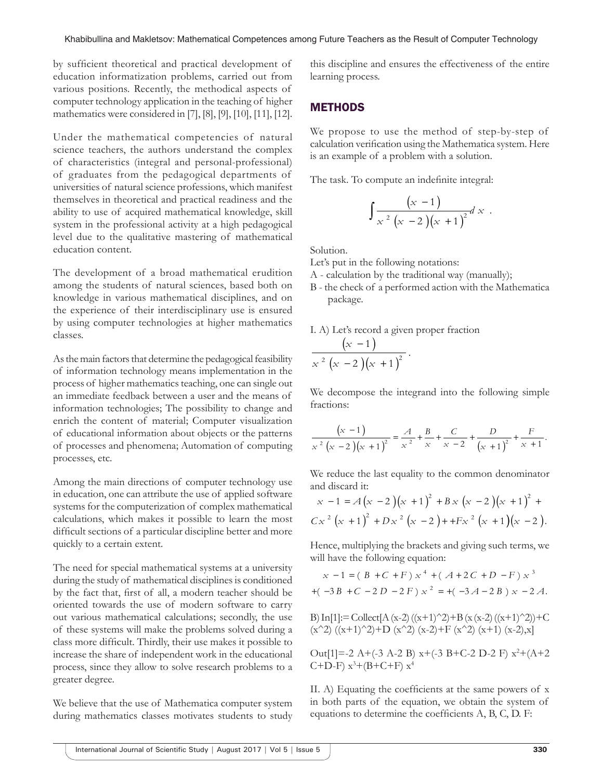by sufficient theoretical and practical development of education informatization problems, carried out from various positions. Recently, the methodical aspects of computer technology application in the teaching of higher mathematics were considered in [7], [8], [9], [10], [11], [12].

Under the mathematical competencies of natural science teachers, the authors understand the complex of characteristics (integral and personal-professional) of graduates from the pedagogical departments of universities of natural science professions, which manifest themselves in theoretical and practical readiness and the ability to use of acquired mathematical knowledge, skill system in the professional activity at a high pedagogical level due to the qualitative mastering of mathematical education content.

The development of a broad mathematical erudition among the students of natural sciences, based both on knowledge in various mathematical disciplines, and on the experience of their interdisciplinary use is ensured by using computer technologies at higher mathematics classes.

As the main factors that determine the pedagogical feasibility of information technology means implementation in the process of higher mathematics teaching, one can single out an immediate feedback between a user and the means of information technologies; The possibility to change and enrich the content of material; Computer visualization of educational information about objects or the patterns of processes and phenomena; Automation of computing processes, etc.

Among the main directions of computer technology use in education, one can attribute the use of applied software systems for the computerization of complex mathematical calculations, which makes it possible to learn the most difficult sections of a particular discipline better and more quickly to a certain extent.

The need for special mathematical systems at a university during the study of mathematical disciplines is conditioned by the fact that, first of all, a modern teacher should be oriented towards the use of modern software to carry out various mathematical calculations; secondly, the use of these systems will make the problems solved during a class more difficult. Thirdly, their use makes it possible to increase the share of independent work in the educational process, since they allow to solve research problems to a greater degree.

We believe that the use of Mathematica computer system during mathematics classes motivates students to study

this discipline and ensures the effectiveness of the entire learning process.

#### **METHODS**

We propose to use the method of step-by-step of calculation verification using the Mathematica system. Here is an example of a problem with a solution.

The task. To compute an indefinite integral:

$$
\int \frac{(x-1)}{x^2(x-2)(x+1)^2} dx
$$

Solution.

Let's put in the following notations:

- А calculation by the traditional way (manually);
- В the check of a performed action with the Mathematica package.
- I. А) Let's record a given proper fraction

$$
\frac{(x-1)}{x^2(x-2)(x+1)^2}.
$$

We decompose the integrand into the following simple fractions:

$$
\frac{(x-1)}{x^2 (x-2)(x+1)^2} = \frac{A}{x^2} + \frac{B}{x} + \frac{C}{x-2} + \frac{D}{(x+1)^2} + \frac{F}{x+1}.
$$

We reduce the last equality to the common denominator and discard it:

$$
x-1 = A (x - 2) (x + 1)^{2} + B x (x - 2) (x + 1)^{2} + C x^{2} (x + 1)^{2} + D x^{2} (x - 2) + + F x^{2} (x + 1) (x - 2).
$$

Hence, multiplying the brackets and giving such terms, we will have the following equation:

$$
x - 1 = (B + C + F) x4 + (A + 2C + D - F) x3
$$
  
+ (-3B + C - 2D - 2F) x<sup>2</sup> = + (-3A - 2B) x - 2A.

В) In[1]:= Collect[A (x-2) ((x+1)^2)+B (x (x-2) ((x+1)^2))+C (x^2) ((x+1)^2)+D (x^2) (x-2)+F (x^2) (x+1) (x-2),x]

Out[1]=-2 A+(-3 A-2 B)  $x+$ (-3 B+C-2 D-2 F)  $x^2+(A+2)$  $C+D-F$ )  $x^3+(B+C+F)$   $x^4$ 

II. А) Equating the coefficients at the same powers of x in both parts of the equation, we obtain the system of equations to determine the coefficients A, B, C, D. F: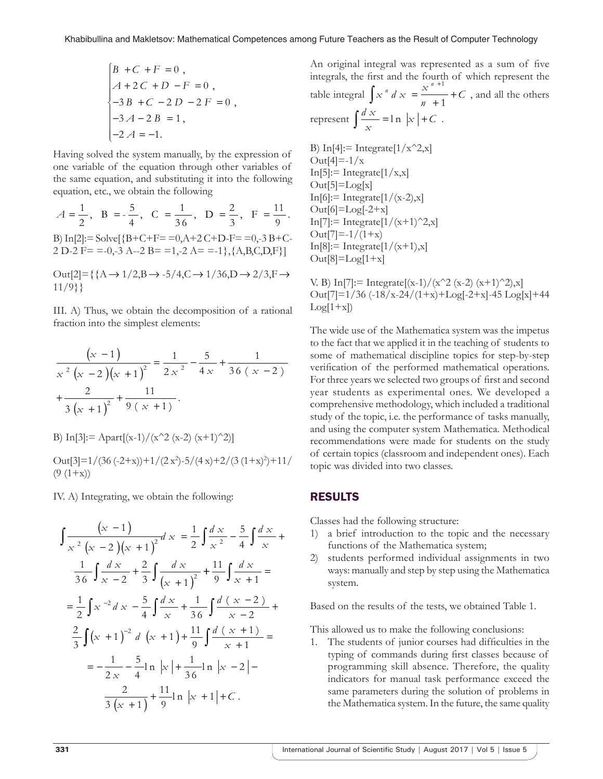$$
\begin{cases}\nB + C + F = 0, \\
A + 2C + D - F = 0, \\
-3B + C - 2D - 2F = 0, \\
-3A - 2B = 1, \\
-2A = -1.\n\end{cases}
$$

Having solved the system manually, by the expression of one variable of the equation through other variables of the same equation, and substituting it into the following equation, etc., we obtain the following

 $A = \frac{1}{2}$ ,  $B = -\frac{5}{4}$ ,  $C = \frac{1}{36}$ ,  $D = \frac{2}{3}$ ,  $F = \frac{11}{9}$ .  $C = \frac{1}{2}$ 3 6  $D = \frac{2}{3}$ 3  $F = \frac{11}{2}$ 9 B) In[2]:= Solve[ ${B + C + F = 0, A + 2 C + D - F = 0, -3 B + C-$ 2 D-2 F= =-0,-3 A--2 B= =1,-2 A= =-1}, ${A, B, C, D, F}$ ]

Out $[2] = {\{A \rightarrow 1/2, B \rightarrow -5/4, C \rightarrow 1/36, D \rightarrow 2/3, F \rightarrow \emptyset\}}$ 11/9}}

III. А) Thus, we obtain the decomposition of a rational fraction into the simplest elements:

$$
\frac{\left(x-1\right)}{x^2 \left(x-2\right) \left(x+1\right)^2} = \frac{1}{2 x^2} - \frac{5}{4 x} + \frac{1}{36 \left(x-2\right)}
$$
\n
$$
+\frac{2}{3 \left(x+1\right)^2} + \frac{11}{9 \left(x+1\right)}.
$$

В) In[3]:= Apart[(x-1)/(x^2 (x-2) (x+1)^2)]

Out[3]= $1/(36(-2+x))+1/(2x^2)-5/(4x)+2/(3(1+x)^2)+11/$  $(9(1+x))$ 

IV. А) Integrating, we obtain the following:

$$
\int \frac{(x-1)}{x^2 (x-2)(x+1)^2} dx = \frac{1}{2} \int \frac{dx}{x^2} - \frac{5}{4} \int \frac{dx}{x} + \frac{1}{3} \int \frac{dx}{x-2} + \frac{2}{3} \int \frac{dx}{(x+1)^2} + \frac{11}{9} \int \frac{dx}{x+1} =
$$
  

$$
= \frac{1}{2} \int x^{-2} dx - \frac{5}{4} \int \frac{dx}{x} + \frac{1}{36} \int \frac{d(x-2)}{x-2} + \frac{2}{3} \int (x+1)^{-2} d(x+1) + \frac{11}{9} \int \frac{d(x+1)}{x+1} =
$$
  

$$
= -\frac{1}{2x} - \frac{5}{4} \ln |x| + \frac{1}{36} \ln |x-2| - \frac{2}{3(x+1)} + \frac{11}{9} \ln |x+1| + C.
$$

An original integral was represented as a sum of five integrals, the first and the fourth of which represent the table integral  $\int x^n dx = \frac{x}{x}$ *n*  $\int x^n dx = \frac{x^{n+1}}{n+1} + C$ +1  $- + C$ , and all the others represent  $\int \frac{dx}{x} = \ln |x| + C$ .

B) In[4]:= Integrate[ $1/x^2$ ,x]  $Out[4] = -1/x$  $In[5]:= Integrate[1/x,x]$  $Out[5]=Log[x]$  $In[6]:= Integrate[1/(x-2),x]$  $Out[6] = Log[-2+x]$ In[7]:= Integrate[ $1/(x+1)^2$ ,x]  $Out[7]=-1/(1+x)$  $In[8]:= Integrate[1/(x+1),x]$  $Out[8]=Log[1+x]$ 

V. B) In[7]: = Integrate[(x-1)/(x^2 (x-2) (x+1)^2),x]  $Out[7]=1/36$  (-18/x-24/(1+x)+Log[-2+x]-45 Log[x]+44  $Log[1+x])$ 

The wide use of the Mathematica system was the impetus to the fact that we applied it in the teaching of students to some of mathematical discipline topics for step-by-step verification of the performed mathematical operations. For three years we selected two groups of first and second year students as experimental ones. We developed a comprehensive methodology, which included a traditional study of the topic, i.e. the performance of tasks manually, and using the computer system Mathematica. Methodical recommendations were made for students on the study of certain topics (classroom and independent ones). Each topic was divided into two classes.

#### RESULTS

Classes had the following structure:

- 1) a brief introduction to the topic and the necessary functions of the Mathematica system;
- 2) students performed individual assignments in two ways: manually and step by step using the Mathematica system.

Based on the results of the tests, we obtained Table 1.

This allowed us to make the following conclusions:

1. The students of junior courses had difficulties in the typing of commands during first classes because of programming skill absence. Therefore, the quality indicators for manual task performance exceed the same parameters during the solution of problems in the Mathematica system. In the future, the same quality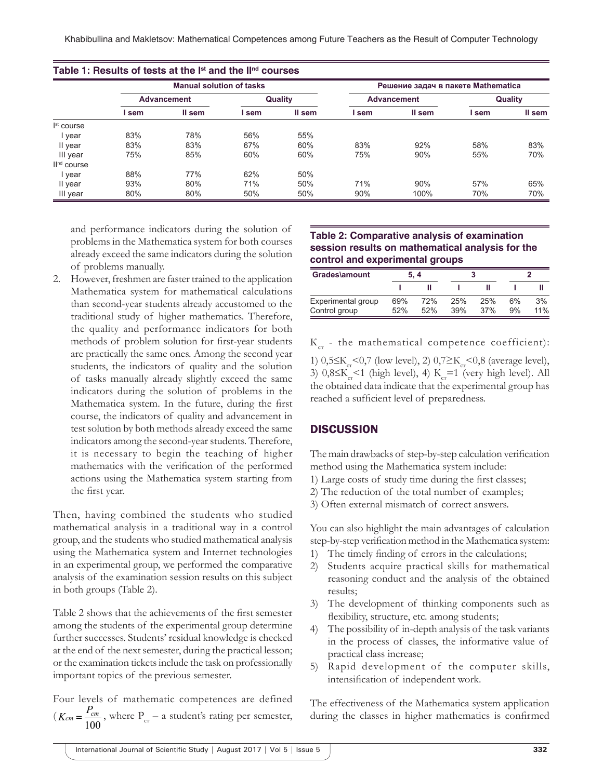|                         | <b>Manual solution of tasks</b> |        |         |        | Решение задач в пакете Mathematica |        |         |        |  |
|-------------------------|---------------------------------|--------|---------|--------|------------------------------------|--------|---------|--------|--|
|                         | <b>Advancement</b>              |        | Quality |        | <b>Advancement</b>                 |        | Quality |        |  |
|                         | l sem                           | II sem | sem     | II sem | sem                                | II sem | l sem   | II sem |  |
| I <sup>st</sup> course  |                                 |        |         |        |                                    |        |         |        |  |
| year                    | 83%                             | 78%    | 56%     | 55%    |                                    |        |         |        |  |
| II year                 | 83%                             | 83%    | 67%     | 60%    | 83%                                | 92%    | 58%     | 83%    |  |
| III year                | 75%                             | 85%    | 60%     | 60%    | 75%                                | 90%    | 55%     | 70%    |  |
| II <sup>nd</sup> course |                                 |        |         |        |                                    |        |         |        |  |
| year                    | 88%                             | 77%    | 62%     | 50%    |                                    |        |         |        |  |
| II year                 | 93%                             | 80%    | 71%     | 50%    | 71%                                | 90%    | 57%     | 65%    |  |
| III year                | 80%                             | 80%    | 50%     | 50%    | 90%                                | 100%   | 70%     | 70%    |  |

and performance indicators during the solution of problems in the Mathematica system for both courses already exceed the same indicators during the solution of problems manually.

2. However, freshmen are faster trained to the application Mathematica system for mathematical calculations than second-year students already accustomed to the traditional study of higher mathematics. Therefore, the quality and performance indicators for both methods of problem solution for first-year students are practically the same ones. Among the second year students, the indicators of quality and the solution of tasks manually already slightly exceed the same indicators during the solution of problems in the Mathematica system. In the future, during the first course, the indicators of quality and advancement in test solution by both methods already exceed the same indicators among the second-year students. Therefore, it is necessary to begin the teaching of higher mathematics with the verification of the performed actions using the Mathematica system starting from the first year.

Then, having combined the students who studied mathematical analysis in a traditional way in a control group, and the students who studied mathematical analysis using the Mathematica system and Internet technologies in an experimental group, we performed the comparative analysis of the examination session results on this subject in both groups (Table 2).

Table 2 shows that the achievements of the first semester among the students of the experimental group determine further successes. Students' residual knowledge is checked at the end of the next semester, during the practical lesson; or the examination tickets include the task on professionally important topics of the previous semester.

Four levels of mathematic competences are defined ( 100  $K_{cm} = \frac{P_{cm}}{100}$ , where P<sub>cr</sub> – a student's rating per semester,

#### **Table 2: Comparative analysis of examination session results on mathematical analysis for the control and experimental groups**

| Grades\amount      | 5.4 |     |     |     |    |     |
|--------------------|-----|-----|-----|-----|----|-----|
|                    |     |     |     |     |    |     |
| Experimental group | 69% | 72% | 25% | 25% | 6% | 3%  |
| Control group      | 52% | 52% | 39% | 37% | 9% | 11% |

 $K<sub>cr</sub>$  - the mathematical competence coefficient):

1) 0,5≤K<sub>cr</sub><0,7 (low level), 2) 0,7≥K<sub>cr</sub><0,8 (average level), 3)  $0,8 \leq K_{cr} < 1$  (high level), 4)  $K_{cr} = 1$  (very high level). All the obtained data indicate that the experimental group has reached a sufficient level of preparedness.

#### **DISCUSSION**

The main drawbacks of step-by-step calculation verification method using the Mathematica system include:

- 1) Large costs of study time during the first classes;
- 2) The reduction of the total number of examples;
- 3) Often external mismatch of correct answers.

You can also highlight the main advantages of calculation step-by-step verification method in the Mathematica system:

- 1) The timely finding of errors in the calculations;
- 2) Students acquire practical skills for mathematical reasoning conduct and the analysis of the obtained results;
- 3) The development of thinking components such as flexibility, structure, etc. among students;
- 4) The possibility of in-depth analysis of the task variants in the process of classes, the informative value of practical class increase;
- 5) Rapid development of the computer skills, intensification of independent work.

The effectiveness of the Mathematica system application during the classes in higher mathematics is confirmed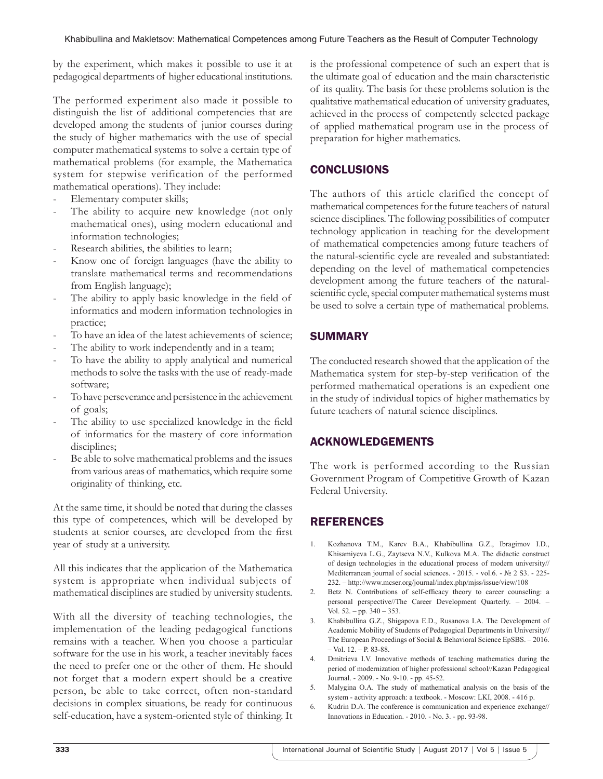by the experiment, which makes it possible to use it at pedagogical departments of higher educational institutions.

The performed experiment also made it possible to distinguish the list of additional competencies that are developed among the students of junior courses during the study of higher mathematics with the use of special computer mathematical systems to solve a certain type of mathematical problems (for example, the Mathematica system for stepwise verification of the performed mathematical operations). They include:

- Elementary computer skills;
- The ability to acquire new knowledge (not only mathematical ones), using modern educational and information technologies;
- Research abilities, the abilities to learn;
- Know one of foreign languages (have the ability to translate mathematical terms and recommendations from English language);
- The ability to apply basic knowledge in the field of informatics and modern information technologies in practice;
- To have an idea of the latest achievements of science:
- The ability to work independently and in a team;
- To have the ability to apply analytical and numerical methods to solve the tasks with the use of ready-made software;
- To have perseverance and persistence in the achievement of goals;
- The ability to use specialized knowledge in the field of informatics for the mastery of core information disciplines;
- Be able to solve mathematical problems and the issues from various areas of mathematics, which require some originality of thinking, etc.

At the same time, it should be noted that during the classes this type of competences, which will be developed by students at senior courses, are developed from the first year of study at a university.

All this indicates that the application of the Mathematica system is appropriate when individual subjects of mathematical disciplines are studied by university students.

With all the diversity of teaching technologies, the implementation of the leading pedagogical functions remains with a teacher. When you choose a particular software for the use in his work, a teacher inevitably faces the need to prefer one or the other of them. He should not forget that a modern expert should be a creative person, be able to take correct, often non-standard decisions in complex situations, be ready for continuous self-education, have a system-oriented style of thinking. It

is the professional competence of such an expert that is the ultimate goal of education and the main characteristic of its quality. The basis for these problems solution is the qualitative mathematical education of university graduates, achieved in the process of competently selected package of applied mathematical program use in the process of preparation for higher mathematics.

## **CONCLUSIONS**

The authors of this article clarified the concept of mathematical competences for the future teachers of natural science disciplines. The following possibilities of computer technology application in teaching for the development of mathematical competencies among future teachers of the natural-scientific cycle are revealed and substantiated: depending on the level of mathematical competencies development among the future teachers of the naturalscientific cycle, special computer mathematical systems must be used to solve a certain type of mathematical problems.

## SUMMARY

The conducted research showed that the application of the Mathematica system for step-by-step verification of the performed mathematical operations is an expedient one in the study of individual topics of higher mathematics by future teachers of natural science disciplines.

## ACKNOWLEDGEMENTS

The work is performed according to the Russian Government Program of Competitive Growth of Kazan Federal University.

## REFERENCES

- 1. Kozhanova T.M., Karev B.A., Khabibullina G.Z., Ibragimov I.D., Khisamiyeva L.G., Zaytseva N.V., Kulkova M.A. The didactic construct of design technologies in the educational process of modern university// Mediterranean journal of social sciences. - 2015. - vol.6. - № 2 S3. - 225- 232. – http://www.mcser.org/journal/index.php/mjss/issue/view/108
- 2. Betz N. Contributions of self-efficacy theory to career counseling: a personal perspective//The Career Development Quarterly. – 2004. – Vol. 52. – pp. 340 – 353.
- 3. Khabibullina G.Z., Shigapova E.D., Rusanova I.A. The Development of Academic Mobility of Students of Pedagogical Departments in University// The European Proceedings of Social & Behavioral Science EpSBS. – 2016. – Vol. 12. – P. 83-88.
- 4. Dmitrieva I.V. Innovative methods of teaching mathematics during the period of modernization of higher professional school//Kazan Pedagogical Journal. - 2009. - No. 9-10. - pp. 45-52.
- 5. Malygina O.A. The study of mathematical analysis on the basis of the system - activity approach: a textbook. - Moscow: LKI, 2008. - 416 p.
- 6. Kudrin D.A. The conference is communication and experience exchange// Innovations in Education. - 2010. - No. 3. - pp. 93-98.